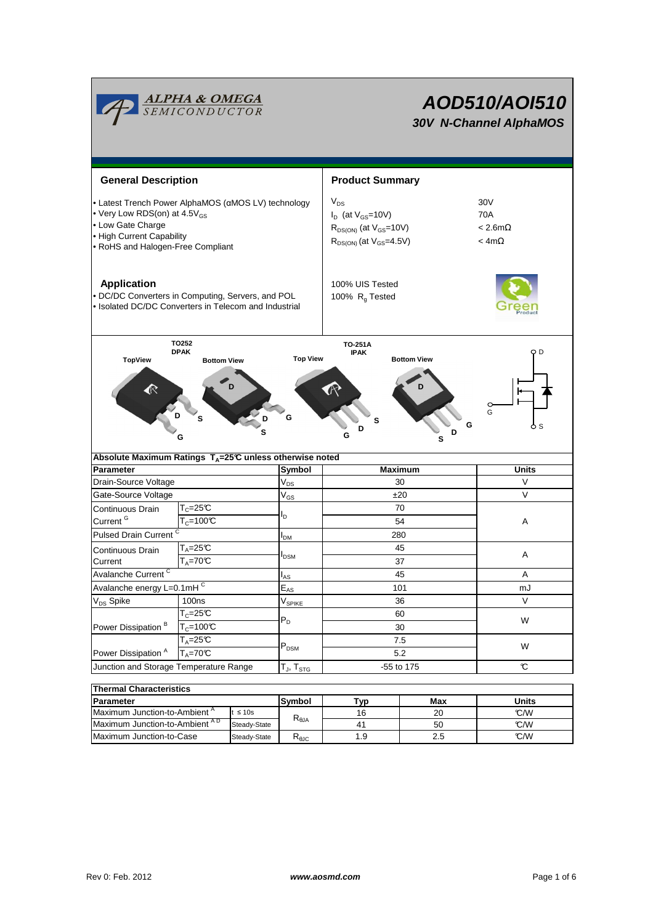

**Application** 100% UIS Tested • DC/DC Converters in Computing, Servers, and POL • Isolated DC/DC Converters in Telecom and Industrial



100%  $R<sub>g</sub>$  Tested

|                                        |                               | ື                      |            |    |  |  |
|----------------------------------------|-------------------------------|------------------------|------------|----|--|--|
| Continuous Drain                       | $T_c = 25C$                   |                        | 70         | A  |  |  |
| Current <sup>G</sup>                   | $T_c = 100C$                  | חי                     | 54         |    |  |  |
| Pulsed Drain Current <sup>C</sup>      |                               | <b>I</b> <sub>DM</sub> | 280        |    |  |  |
| Continuous Drain                       | $T_A = 25C$                   |                        | 45         | A  |  |  |
| Current                                | $T_{\text{A}} = 70 \text{°C}$ | <b>I</b> DSM           | 37         |    |  |  |
| Avalanche Current <sup>C</sup>         |                               | $I_{AS}$               | 45         | A  |  |  |
| Avalanche energy L=0.1mHC              |                               | $E_{AS}$               | 101        | mJ |  |  |
| V <sub>DS</sub> Spike                  | 100ns                         | $V_{\sf SPIKE}$        | 36         | V  |  |  |
|                                        | $T_c = 25C$                   | $P_D$                  | 60         | W  |  |  |
| Power Dissipation <sup>B</sup>         | $T_c = 100C$                  |                        | 30         |    |  |  |
|                                        | $T_A = 25C$                   |                        | 7.5        | W  |  |  |
| Power Dissipation <sup>A</sup>         | $T_{\text{A}} = 70 \text{°C}$ | $P_{DSM}$              | 5.2        |    |  |  |
| Junction and Storage Temperature Range |                               | $T_J$ , $T_{STG}$      | -55 to 175 | C  |  |  |

| <b>Thermal Characteristics</b>           |               |                        |     |       |     |  |  |  |
|------------------------------------------|---------------|------------------------|-----|-------|-----|--|--|--|
| Parameter                                | Symbol<br>Гур |                        | Max | Units |     |  |  |  |
| Maximum Junction-to-Ambient <sup>A</sup> | t $\leq 10$ s |                        | 16  | 20    | C/W |  |  |  |
| Maximum Junction-to-Ambient AD           | Steady-State  | $R_{\theta JA}$        | 41  | 50    | C/W |  |  |  |
| Maximum Junction-to-Case<br>Steady-State |               | $R_{\theta \text{JC}}$ | 1.9 | 2.5   | C/W |  |  |  |

**AOD510/AOI510 30V N-Channel AlphaMOS**

30V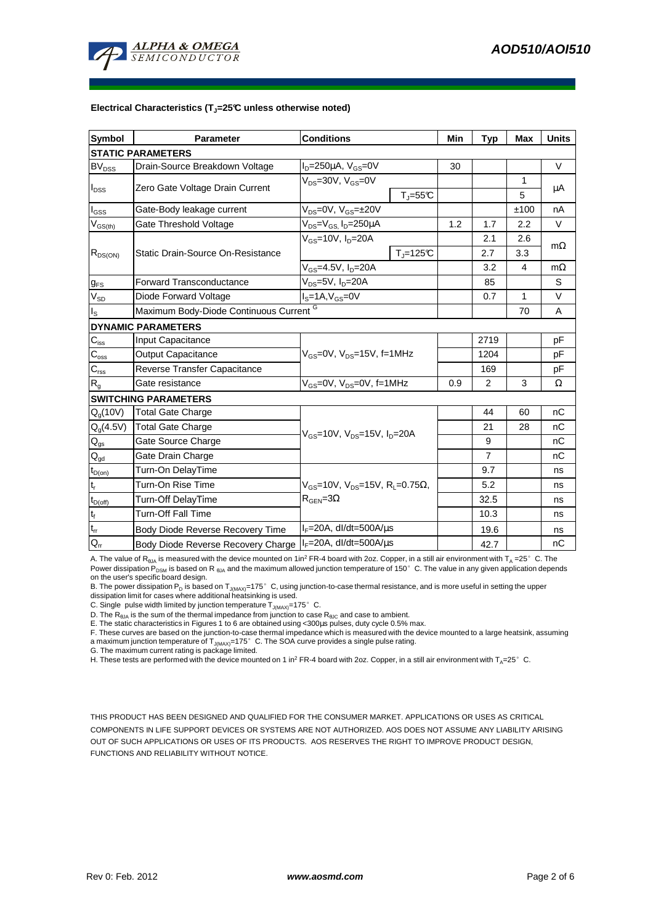

## **Electrical Characteristics (TJ=25°C unless otherwise noted)**

| <b>Symbol</b>                           | <b>Parameter</b>                                   | <b>Conditions</b>                                                                                           |                              | Min | <b>Typ</b>     | Max                     | <b>Units</b> |  |  |
|-----------------------------------------|----------------------------------------------------|-------------------------------------------------------------------------------------------------------------|------------------------------|-----|----------------|-------------------------|--------------|--|--|
| <b>STATIC PARAMETERS</b>                |                                                    |                                                                                                             |                              |     |                |                         |              |  |  |
| <b>BV<sub>DSS</sub></b>                 | Drain-Source Breakdown Voltage                     | $I_D = 250 \mu A$ , $V_{GS} = 0V$                                                                           |                              | 30  |                |                         | $\vee$       |  |  |
| $I_{\text{DSS}}$                        |                                                    | $V_{DS} = 30V$ , $V_{GS} = 0V$                                                                              |                              |     |                | 1                       | μA           |  |  |
|                                         | Zero Gate Voltage Drain Current                    |                                                                                                             | $T_{\text{J}} = 55^{\circ}C$ |     |                | 5                       |              |  |  |
| $I_{GSS}$                               | Gate-Body leakage current                          | $V_{DS} = 0V$ , $V_{GS} = \pm 20V$                                                                          |                              |     |                | ±100                    | nA           |  |  |
| $\mathsf{V}_{\mathsf{GS}(\mathsf{th})}$ | Gate Threshold Voltage                             | $V_{DS} = V_{GS}$ , $I_D = 250 \mu A$                                                                       |                              | 1.2 | 1.7            | 2.2                     | $\vee$       |  |  |
| $R_{DS(ON)}$                            | Static Drain-Source On-Resistance                  | $V_{GS}$ =10V, $I_{D}$ =20A                                                                                 |                              |     | 2.1            | 2.6                     |              |  |  |
|                                         |                                                    |                                                                                                             | $T_{\parallel} = 125$ °C     |     | 2.7            | 3.3                     | $m\Omega$    |  |  |
|                                         |                                                    | $V_{GS} = 4.5V, I_D = 20A$                                                                                  |                              |     | 3.2            | $\overline{\mathbf{4}}$ | $m\Omega$    |  |  |
| <b>g</b> <sub>FS</sub>                  | <b>Forward Transconductance</b>                    | V <sub>ns</sub> =5V, I <sub>n</sub> =20A                                                                    |                              | 85  |                | S                       |              |  |  |
| $V_{SD}$                                | Diode Forward Voltage                              | $IS=1A, VGS=0V$                                                                                             |                              |     | 0.7            | 1                       | $\vee$       |  |  |
| $I_{\rm S}$                             | Maximum Body-Diode Continuous Current <sup>G</sup> |                                                                                                             |                              |     |                | 70                      | A            |  |  |
|                                         | <b>DYNAMIC PARAMETERS</b>                          |                                                                                                             |                              |     |                |                         |              |  |  |
| $C_{\text{iss}}$                        | Input Capacitance                                  |                                                                                                             |                              |     | 2719           |                         | рF           |  |  |
| $C_{\rm oss}$                           | <b>Output Capacitance</b>                          | $V_{GS}$ =0V, $V_{DS}$ =15V, f=1MHz                                                                         |                              |     | 1204           |                         | pF           |  |  |
| $C_{\text{rss}}$                        | Reverse Transfer Capacitance                       |                                                                                                             |                              |     | 169            |                         | pF           |  |  |
| $R_{g}$                                 | Gate resistance                                    | $V_{GS}$ =0V, $V_{DS}$ =0V, f=1MHz                                                                          |                              | 0.9 | $\overline{2}$ | 3                       | Ω            |  |  |
|                                         | <b>SWITCHING PARAMETERS</b>                        |                                                                                                             |                              |     |                |                         |              |  |  |
| $Q_q(10V)$                              | <b>Total Gate Charge</b>                           | $V_{\text{GS}}$ =10V, $V_{\text{DS}}$ =15V, $I_{\text{D}}$ =20A                                             |                              |     | 44             | 60                      | nC           |  |  |
| $Q_{g}(4.5V)$                           | <b>Total Gate Charge</b>                           |                                                                                                             |                              |     | 21             | 28                      | nC           |  |  |
| $Q_{gs}$                                | Gate Source Charge                                 |                                                                                                             |                              |     | 9              |                         | nC           |  |  |
| $\mathsf{Q}_{\underline{\mathsf{gd}}}$  | Gate Drain Charge                                  |                                                                                                             |                              |     | $\overline{7}$ |                         | nC           |  |  |
| $t_{D(on)}$                             | Turn-On DelayTime                                  |                                                                                                             |                              |     | 9.7            |                         | ns           |  |  |
| $t_r$                                   | Turn-On Rise Time                                  | $V_{\text{GS}} = 10V$ , $V_{\text{DS}} = 15V$ , $R_{\text{I}} = 0.75\Omega$ ,<br>$R_{\text{GEN}} = 3\Omega$ |                              |     | 5.2            |                         | ns           |  |  |
| $t_{D(off)}$                            | Turn-Off DelayTime                                 |                                                                                                             |                              |     | 32.5           |                         | ns           |  |  |
| $\mathbf{t}_\text{f}$                   | <b>Turn-Off Fall Time</b>                          |                                                                                                             |                              |     | 10.3           |                         | ns           |  |  |
| $t_{rr}$                                | Body Diode Reverse Recovery Time                   | $I_F = 20A$ , dl/dt=500A/ $\mu$ s                                                                           |                              |     | 19.6           |                         | ns           |  |  |
| $Q_{rr}$                                | Body Diode Reverse Recovery Charge                 | $IF=20A$ , dl/dt=500A/ $\mu$ s                                                                              |                              |     | 42.7           |                         | nC           |  |  |

A. The value of  $R_{\theta_0A}$  is measured with the device mounted on 1in<sup>2</sup> FR-4 board with 2oz. Copper, in a still air environment with T<sub>A</sub> =25°C. The Power dissipation P<sub>DSM</sub> is based on R <sub>θJA</sub> and the maximum allowed junction temperature of 150°C. The value in any given application depends on the user's specific board design.

B. The power dissipation P<sub>D</sub> is based on T<sub>J(MAX)</sub>=175°C, using junction-to-case thermal resistance, and is more useful in setting the upper

dissipation limit for cases where additional heatsinking is used.

C. Single pulse width limited by junction temperature  $T_{J(MAX)}$ =175°C.

D. The  $R_{\theta JA}$  is the sum of the thermal impedance from junction to case  $R_{\theta JC}$  and case to ambient.

E. The static characteristics in Figures 1 to 6 are obtained using <300µs pulses, duty cycle 0.5% max.

E. The state characteristics in Figures 1 to 5 are setting the large vertex in the state with the device mounted to a large heatsink, assuming F. These curves are based on the junction-to-case thermal impedance which is me a maximum junction temperature of T<sub>J(MAX)</sub>=175°C. The SOA curve provides a single pulse rating.<br>G. The maximum current rating is package limited.

H. These tests are performed with the device mounted on 1 in<sup>2</sup> FR-4 board with 2oz. Copper, in a still air environment with T<sub>A</sub>=25°C.

THIS PRODUCT HAS BEEN DESIGNED AND QUALIFIED FOR THE CONSUMER MARKET. APPLICATIONS OR USES AS CRITICAL COMPONENTS IN LIFE SUPPORT DEVICES OR SYSTEMS ARE NOT AUTHORIZED. AOS DOES NOT ASSUME ANY LIABILITY ARISING OUT OF SUCH APPLICATIONS OR USES OF ITS PRODUCTS. AOS RESERVES THE RIGHT TO IMPROVE PRODUCT DESIGN, FUNCTIONS AND RELIABILITY WITHOUT NOTICE.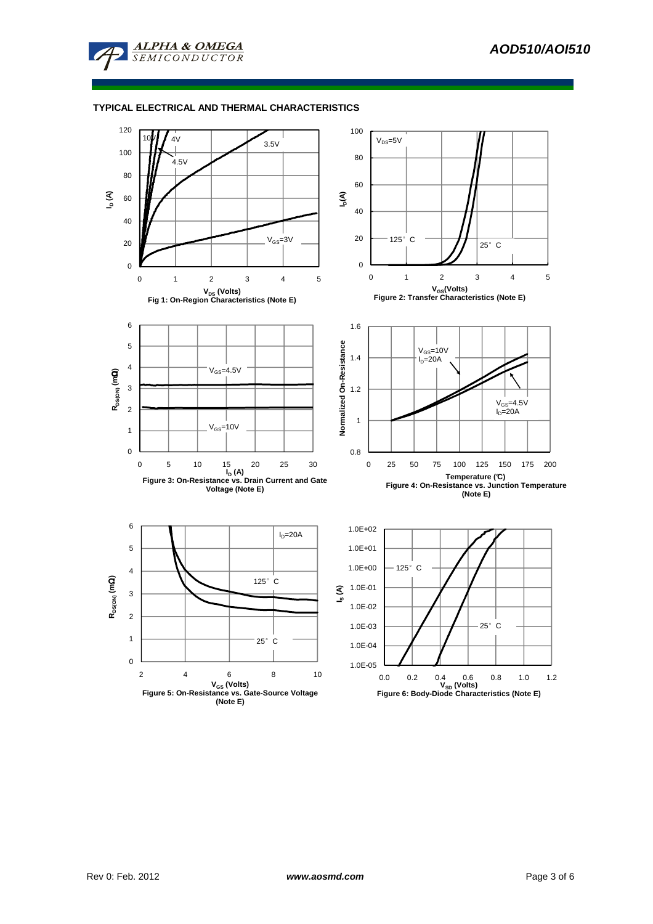

## **TYPICAL ELECTRICAL AND THERMAL CHARACTERISTICS**

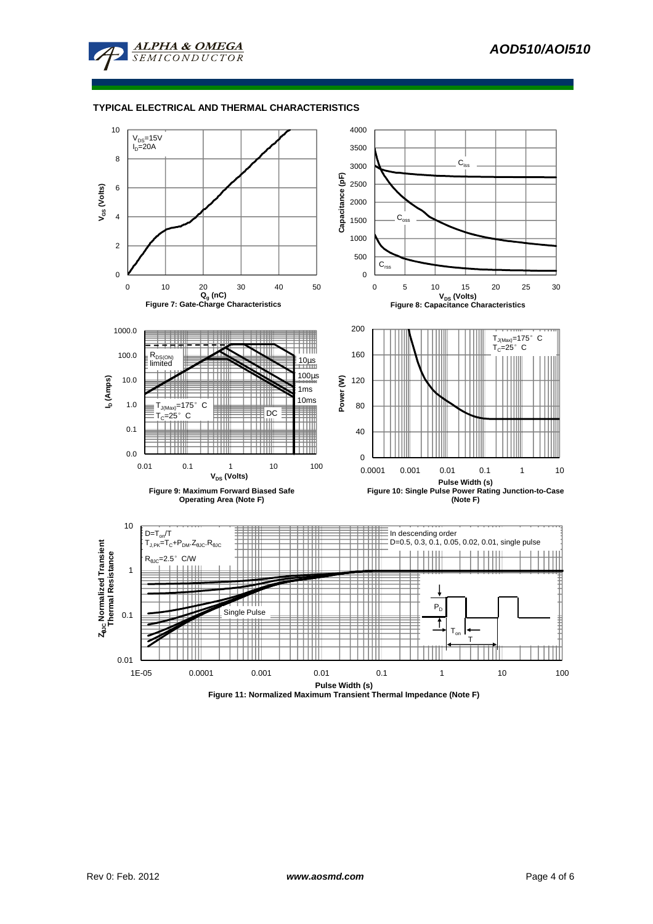

## **TYPICAL ELECTRICAL AND THERMAL CHARACTERISTICS**



**Figure 11: Normalized Maximum Transient Thermal Impedance (Note F)**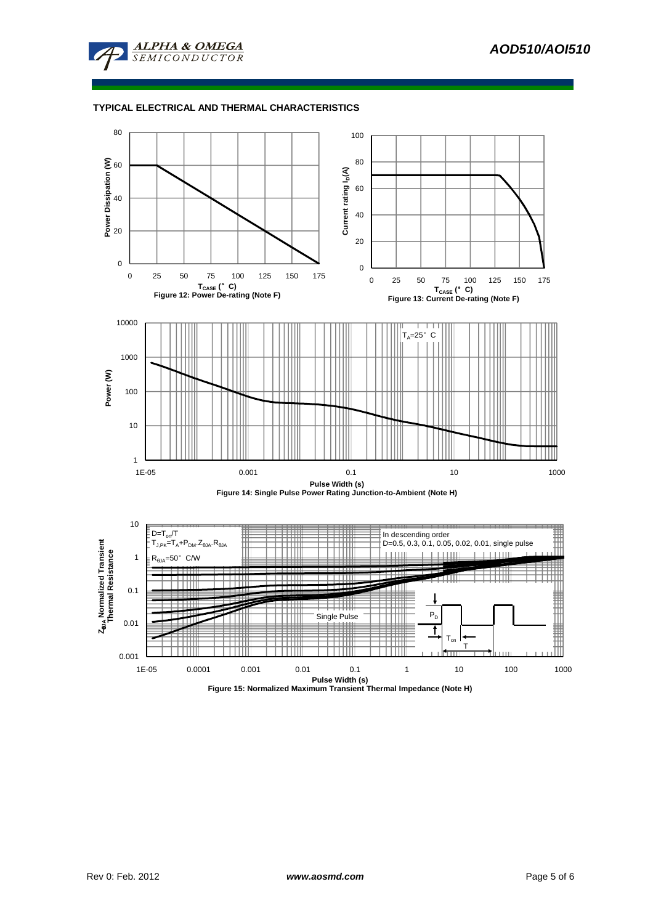

# **TYPICAL ELECTRICAL AND THERMAL CHARACTERISTICS**